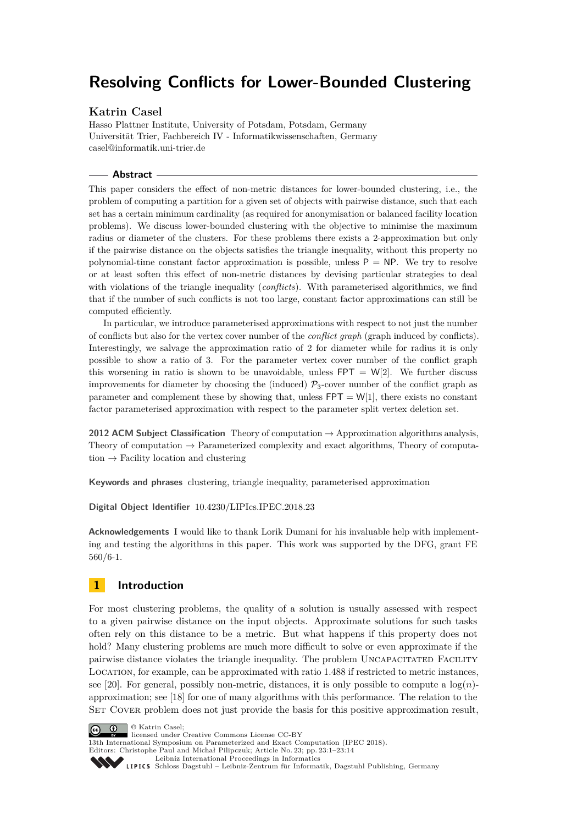# **Resolving Conflicts for Lower-Bounded Clustering**

## **Katrin Casel**

Hasso Plattner Institute, University of Potsdam, Potsdam, Germany Universität Trier, Fachbereich IV - Informatikwissenschaften, Germany [casel@informatik.uni-trier.de](mailto:casel@informatik.uni-trier.de)

#### **Abstract**

This paper considers the effect of non-metric distances for lower-bounded clustering, i.e., the problem of computing a partition for a given set of objects with pairwise distance, such that each set has a certain minimum cardinality (as required for anonymisation or balanced facility location problems). We discuss lower-bounded clustering with the objective to minimise the maximum radius or diameter of the clusters. For these problems there exists a 2-approximation but only if the pairwise distance on the objects satisfies the triangle inequality, without this property no polynomial-time constant factor approximation is possible, unless  $P = NP$ . We try to resolve or at least soften this effect of non-metric distances by devising particular strategies to deal with violations of the triangle inequality (*conflicts*). With parameterised algorithmics, we find that if the number of such conflicts is not too large, constant factor approximations can still be computed efficiently.

In particular, we introduce parameterised approximations with respect to not just the number of conflicts but also for the vertex cover number of the *conflict graph* (graph induced by conflicts). Interestingly, we salvage the approximation ratio of 2 for diameter while for radius it is only possible to show a ratio of 3. For the parameter vertex cover number of the conflict graph this worsening in ratio is shown to be unavoidable, unless  $FPT = W[2]$ . We further discuss improvements for diameter by choosing the (induced)  $\mathcal{P}_3$ -cover number of the conflict graph as parameter and complement these by showing that, unless  $FPT = W[1]$ , there exists no constant factor parameterised approximation with respect to the parameter split vertex deletion set.

**2012 ACM Subject Classification** Theory of computation → Approximation algorithms analysis, Theory of computation  $\rightarrow$  Parameterized complexity and exact algorithms, Theory of computation  $\rightarrow$  Facility location and clustering

**Keywords and phrases** clustering, triangle inequality, parameterised approximation

**Digital Object Identifier** [10.4230/LIPIcs.IPEC.2018.23](https://doi.org/10.4230/LIPIcs.IPEC.2018.23)

**Acknowledgements** I would like to thank Lorik Dumani for his invaluable help with implementing and testing the algorithms in this paper. This work was supported by the DFG, grant FE 560/6-1.

# **1 Introduction**

For most clustering problems, the quality of a solution is usually assessed with respect to a given pairwise distance on the input objects. Approximate solutions for such tasks often rely on this distance to be a metric. But what happens if this property does not hold? Many clustering problems are much more difficult to solve or even approximate if the pairwise distance violates the triangle inequality. The problem UNCAPACITATED FACILITY Location, for example, can be approximated with ratio 1.488 if restricted to metric instances, see [\[20\]](#page-12-0). For general, possibly non-metric, distances, it is only possible to compute a  $\log(n)$ approximation; see [\[18\]](#page-12-1) for one of many algorithms with this performance. The relation to the SET COVER problem does not just provide the basis for this positive approximation result,





13th International Symposium on Parameterized and Exact Computation (IPEC 2018). Editors: Christophe Paul and Michał Pilipczuk; Article No. 23; pp. 23:1–23[:14](#page-13-0)

[Leibniz International Proceedings in Informatics](http://www.dagstuhl.de/lipics/)

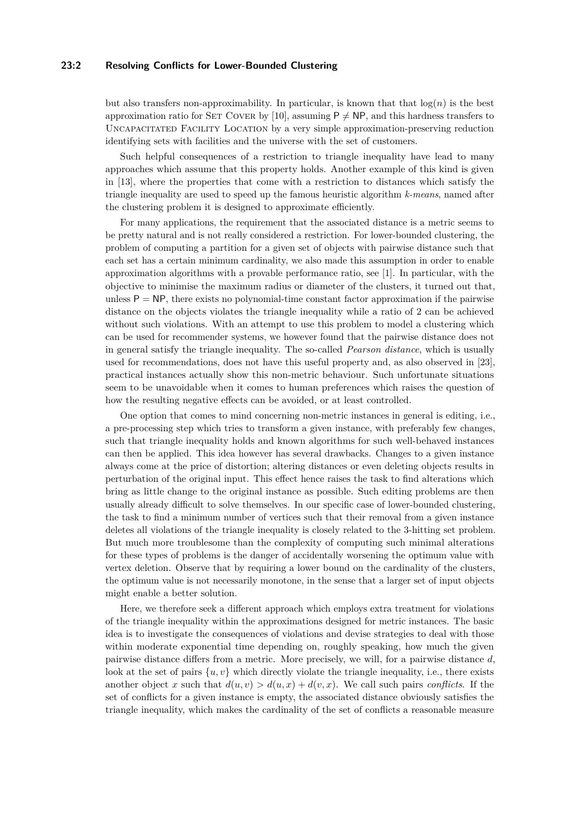#### **23:2 Resolving Conflicts for Lower-Bounded Clustering**

but also transfers non-approximability. In particular, is known that that  $log(n)$  is the best approximation ratio for SET COVER by [\[10\]](#page-12-2), assuming  $P \neq NP$ , and this hardness transfers to Uncapacitated Facility Location by a very simple approximation-preserving reduction identifying sets with facilities and the universe with the set of customers.

Such helpful consequences of a restriction to triangle inequality have lead to many approaches which assume that this property holds. Another example of this kind is given in [\[13\]](#page-12-3), where the properties that come with a restriction to distances which satisfy the triangle inequality are used to speed up the famous heuristic algorithm *k-means*, named after the clustering problem it is designed to approximate efficiently.

For many applications, the requirement that the associated distance is a metric seems to be pretty natural and is not really considered a restriction. For lower-bounded clustering, the problem of computing a partition for a given set of objects with pairwise distance such that each set has a certain minimum cardinality, we also made this assumption in order to enable approximation algorithms with a provable performance ratio, see [\[1\]](#page-11-0). In particular, with the objective to minimise the maximum radius or diameter of the clusters, it turned out that, unless  $P = NP$ , there exists no polynomial-time constant factor approximation if the pairwise distance on the objects violates the triangle inequality while a ratio of 2 can be achieved without such violations. With an attempt to use this problem to model a clustering which can be used for recommender systems, we however found that the pairwise distance does not in general satisfy the triangle inequality. The so-called *Pearson distance*, which is usually used for recommendations, does not have this useful property and, as also observed in [\[23\]](#page-12-4), practical instances actually show this non-metric behaviour. Such unfortunate situations seem to be unavoidable when it comes to human preferences which raises the question of how the resulting negative effects can be avoided, or at least controlled.

One option that comes to mind concerning non-metric instances in general is editing, i.e., a pre-processing step which tries to transform a given instance, with preferably few changes, such that triangle inequality holds and known algorithms for such well-behaved instances can then be applied. This idea however has several drawbacks. Changes to a given instance always come at the price of distortion; altering distances or even deleting objects results in perturbation of the original input. This effect hence raises the task to find alterations which bring as little change to the original instance as possible. Such editing problems are then usually already difficult to solve themselves. In our specific case of lower-bounded clustering, the task to find a minimum number of vertices such that their removal from a given instance deletes all violations of the triangle inequality is closely related to the 3-hitting set problem. But much more troublesome than the complexity of computing such minimal alterations for these types of problems is the danger of accidentally worsening the optimum value with vertex deletion. Observe that by requiring a lower bound on the cardinality of the clusters, the optimum value is not necessarily monotone, in the sense that a larger set of input objects might enable a better solution.

Here, we therefore seek a different approach which employs extra treatment for violations of the triangle inequality within the approximations designed for metric instances. The basic idea is to investigate the consequences of violations and devise strategies to deal with those within moderate exponential time depending on, roughly speaking, how much the given pairwise distance differs from a metric. More precisely, we will, for a pairwise distance *d*, look at the set of pairs  $\{u, v\}$  which directly violate the triangle inequality, i.e., there exists another object *x* such that  $d(u, v) > d(u, x) + d(v, x)$ . We call such pairs *conflicts*. If the set of conflicts for a given instance is empty, the associated distance obviously satisfies the triangle inequality, which makes the cardinality of the set of conflicts a reasonable measure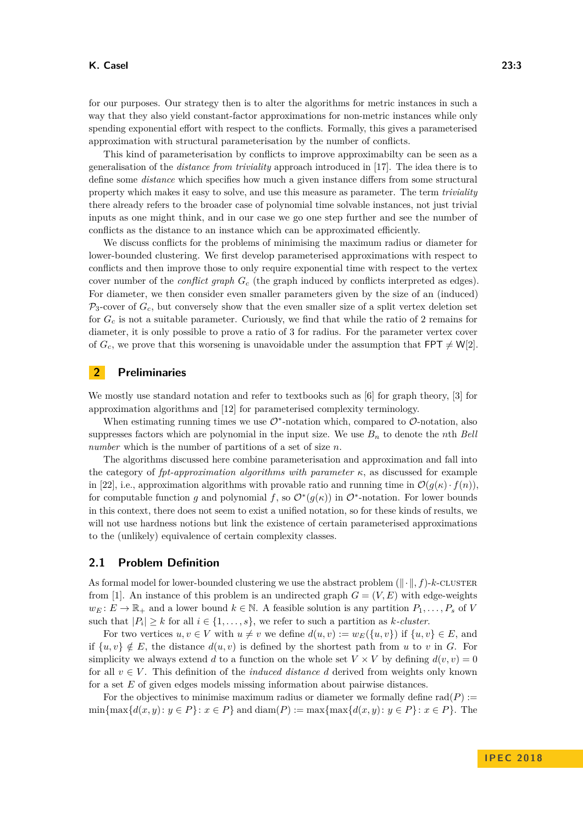for our purposes. Our strategy then is to alter the algorithms for metric instances in such a way that they also yield constant-factor approximations for non-metric instances while only spending exponential effort with respect to the conflicts. Formally, this gives a parameterised approximation with structural parameterisation by the number of conflicts.

This kind of parameterisation by conflicts to improve approximabilty can be seen as a generalisation of the *distance from triviality* approach introduced in [\[17\]](#page-12-5). The idea there is to define some *distance* which specifies how much a given instance differs from some structural property which makes it easy to solve, and use this measure as parameter. The term *triviality* there already refers to the broader case of polynomial time solvable instances, not just trivial inputs as one might think, and in our case we go one step further and see the number of conflicts as the distance to an instance which can be approximated efficiently.

We discuss conflicts for the problems of minimising the maximum radius or diameter for lower-bounded clustering. We first develop parameterised approximations with respect to conflicts and then improve those to only require exponential time with respect to the vertex cover number of the *conflict graph G<sup>c</sup>* (the graph induced by conflicts interpreted as edges). For diameter, we then consider even smaller parameters given by the size of an (induced)  $P_3$ -cover of  $G_c$ , but conversely show that the even smaller size of a split vertex deletion set for *G<sup>c</sup>* is not a suitable parameter. Curiously, we find that while the ratio of 2 remains for diameter, it is only possible to prove a ratio of 3 for radius. For the parameter vertex cover of  $G_c$ , we prove that this worsening is unavoidable under the assumption that  $FPT \neq W[2]$ .

## **2 Preliminaries**

We mostly use standard notation and refer to textbooks such as [\[6\]](#page-12-6) for graph theory, [\[3\]](#page-12-7) for approximation algorithms and [\[12\]](#page-12-8) for parameterised complexity terminology.

When estimating running times we use  $\mathcal{O}^*$ -notation which, compared to  $\mathcal{O}$ -notation, also suppresses factors which are polynomial in the input size. We use  $B_n$  to denote the *n*th *Bell number* which is the number of partitions of a set of size *n*.

The algorithms discussed here combine parameterisation and approximation and fall into the category of *fpt-approximation algorithms with parameter κ*, as discussed for example in [\[22\]](#page-12-9), i.e., approximation algorithms with provable ratio and running time in  $\mathcal{O}(g(\kappa) \cdot f(n))$ . for computable function *g* and polynomial *f*, so  $\mathcal{O}^*(g(\kappa))$  in  $\mathcal{O}^*$ -notation. For lower bounds in this context, there does not seem to exist a unified notation, so for these kinds of results, we will not use hardness notions but link the existence of certain parameterised approximations to the (unlikely) equivalence of certain complexity classes.

#### **2.1 Problem Definition**

As formal model for lower-bounded clustering we use the abstract problem  $(\Vert \cdot \Vert, f)$ -*k*-CLUSTER from [\[1\]](#page-11-0). An instance of this problem is an undirected graph  $G = (V, E)$  with edge-weights  $w_E: E \to \mathbb{R}_+$  and a lower bound  $k \in \mathbb{N}$ . A feasible solution is any partition  $P_1, \ldots, P_s$  of *V* such that  $|P_i| \geq k$  for all  $i \in \{1, \ldots, s\}$ , we refer to such a partition as *k*-cluster.

For two vertices  $u, v \in V$  with  $u \neq v$  we define  $d(u, v) := w_E({u, v})$  if  ${u, v} \in E$ , and if  $\{u, v\} \notin E$ , the distance  $d(u, v)$  is defined by the shortest path from *u* to *v* in *G*. For simplicity we always extend *d* to a function on the whole set  $V \times V$  by defining  $d(v, v) = 0$ for all  $v \in V$ . This definition of the *induced distance d* derived from weights only known for a set *E* of given edges models missing information about pairwise distances.

For the objectives to minimise maximum radius or diameter we formally define  $rad(P)$  :=  $\min{\max{d(x, y) : y \in P} : x \in P}$  and  $\text{diam}(P) := \max{\max{d(x, y) : y \in P} : x \in P}$ . The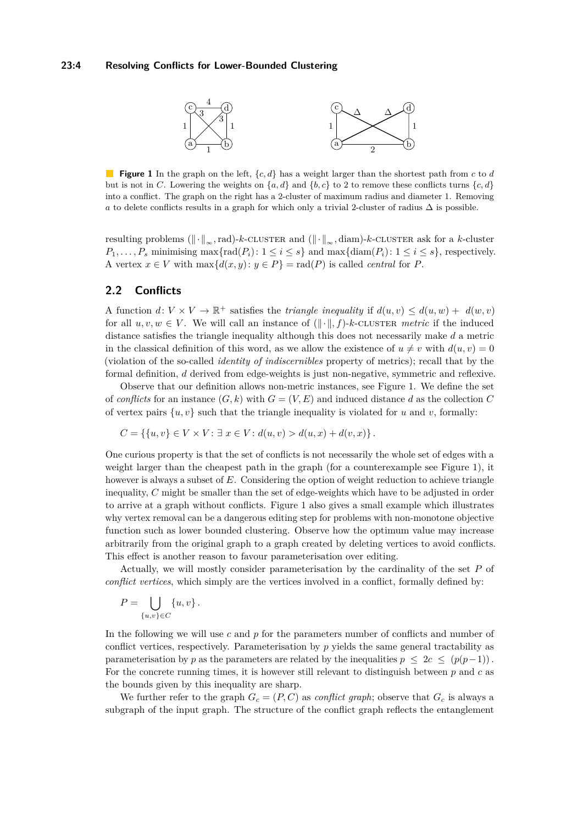#### <span id="page-3-0"></span>**23:4 Resolving Conflicts for Lower-Bounded Clustering**



**Figure 1** In the graph on the left, {*c, d*} has a weight larger than the shortest path from *c* to *d* but is not in *C*. Lowering the weights on  $\{a, d\}$  and  $\{b, c\}$  to 2 to remove these conflicts turns  $\{c, d\}$ into a conflict. The graph on the right has a 2-cluster of maximum radius and diameter 1. Removing *a* to delete conflicts results in a graph for which only a trivial 2-cluster of radius  $\Delta$  is possible.

resulting problems  $(\lVert \cdot \rVert_{\infty}, \text{rad})$ -*k*-cluster and  $(\lVert \cdot \rVert_{\infty}, \text{diam})$ -*k*-cluster ask for a *k*-cluster  $P_1, \ldots, P_s$  minimising max $\{\text{rad}(P_i): 1 \leq i \leq s\}$  and max $\{\text{diam}(P_i): 1 \leq i \leq s\}$ , respectively. A vertex  $x \in V$  with  $\max\{d(x, y): y \in P\} = \text{rad}(P)$  is called *central* for P.

### **2.2 Conflicts**

A function  $d: V \times V \to \mathbb{R}^+$  satisfies the *triangle inequality* if  $d(u, v) \leq d(u, w) + d(w, v)$ for all  $u, v, w \in V$ . We will call an instance of  $(\Vert \cdot \Vert, f)$ -*k*-CLUSTER *metric* if the induced distance satisfies the triangle inequality although this does not necessarily make *d* a metric in the classical definition of this word, as we allow the existence of  $u \neq v$  with  $d(u, v) = 0$ (violation of the so-called *identity of indiscernibles* property of metrics); recall that by the formal definition, *d* derived from edge-weights is just non-negative, symmetric and reflexive.

Observe that our definition allows non-metric instances, see Figure [1.](#page-3-0) We define the set of *conflicts* for an instance  $(G, k)$  with  $G = (V, E)$  and induced distance *d* as the collection *C* of vertex pairs  $\{u, v\}$  such that the triangle inequality is violated for *u* and *v*, formally:

$$
C = \{ \{u, v\} \in V \times V : \exists x \in V : d(u, v) > d(u, x) + d(v, x) \}.
$$

One curious property is that the set of conflicts is not necessarily the whole set of edges with a weight larger than the cheapest path in the graph (for a counterexample see Figure [1\)](#page-3-0), it however is always a subset of *E*. Considering the option of weight reduction to achieve triangle inequality, *C* might be smaller than the set of edge-weights which have to be adjusted in order to arrive at a graph without conflicts. Figure [1](#page-3-0) also gives a small example which illustrates why vertex removal can be a dangerous editing step for problems with non-monotone objective function such as lower bounded clustering. Observe how the optimum value may increase arbitrarily from the original graph to a graph created by deleting vertices to avoid conflicts. This effect is another reason to favour parameterisation over editing.

Actually, we will mostly consider parameterisation by the cardinality of the set *P* of *conflict vertices*, which simply are the vertices involved in a conflict, formally defined by:

$$
P = \bigcup_{\{u,v\} \in C} \{u,v\}.
$$

In the following we will use *c* and *p* for the parameters number of conflicts and number of conflict vertices, respectively. Parameterisation by *p* yields the same general tractability as parameterisation by *p* as the parameters are related by the inequalities  $p \leq 2c \leq (p(p-1))$ . For the concrete running times, it is however still relevant to distinguish between *p* and *c* as the bounds given by this inequality are sharp.

We further refer to the graph  $G_c = (P, C)$  as *conflict graph*; observe that  $G_c$  is always a subgraph of the input graph. The structure of the conflict graph reflects the entanglement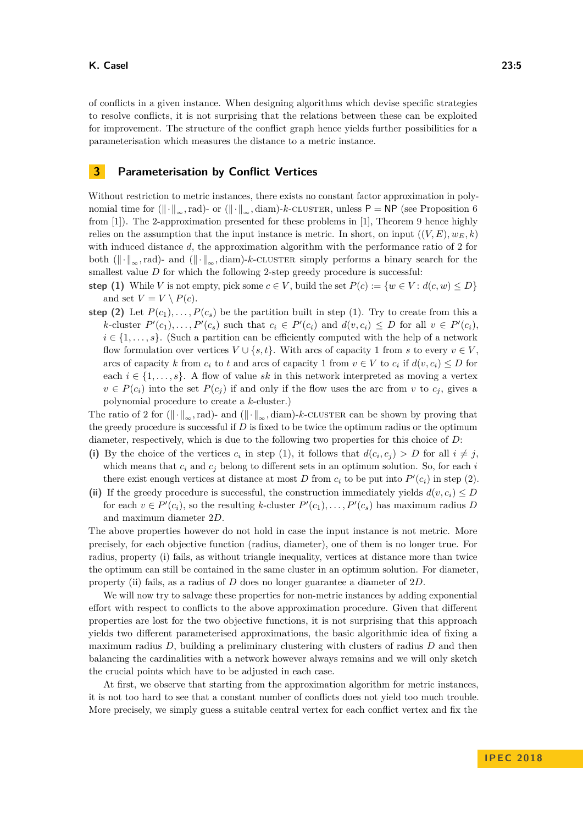of conflicts in a given instance. When designing algorithms which devise specific strategies to resolve conflicts, it is not surprising that the relations between these can be exploited for improvement. The structure of the conflict graph hence yields further possibilities for a parameterisation which measures the distance to a metric instance.

# <span id="page-4-0"></span>**3 Parameterisation by Conflict Vertices**

Without restriction to metric instances, there exists no constant factor approximation in polynomial time for  $(\|\cdot\|_{\infty}, \text{rad})$ - or  $(\|\cdot\|_{\infty}, \text{diam})$ -*k*-cluster, unless P = NP (see Proposition 6 from [\[1\]](#page-11-0)). The 2-approximation presented for these problems in [\[1\]](#page-11-0), Theorem 9 hence highly relies on the assumption that the input instance is metric. In short, on input  $((V, E), w_E, k)$ with induced distance *d*, the approximation algorithm with the performance ratio of 2 for both  $(\lVert \cdot \rVert_{\infty}, \text{rad})$ - and  $(\lVert \cdot \rVert_{\infty}, \text{diam})$ -*k*-cluster simply performs a binary search for the smallest value *D* for which the following 2-step greedy procedure is successful:

- **step (1)** While *V* is not empty, pick some  $c \in V$ , build the set  $P(c) := \{w \in V : d(c, w) \leq D\}$ and set  $V = V \setminus P(c)$ .
- **step (2)** Let  $P(c_1), \ldots, P(c_s)$  be the partition built in step (1). Try to create from this a k-cluster  $P'(c_1), \ldots, P'(c_s)$  such that  $c_i \in P'(c_i)$  and  $d(v, c_i) \leq D$  for all  $v \in P'(c_i)$ ,  $i \in \{1, \ldots, s\}$ . (Such a partition can be efficiently computed with the help of a network flow formulation over vertices  $V \cup \{s,t\}$ . With arcs of capacity 1 from *s* to every  $v \in V$ , arcs of capacity *k* from  $c_i$  to *t* and arcs of capacity 1 from  $v \in V$  to  $c_i$  if  $d(v, c_i) \leq D$  for each  $i \in \{1, \ldots, s\}$ . A flow of value *sk* in this network interpreted as moving a vertex  $v \in P(c_i)$  into the set  $P(c_i)$  if and only if the flow uses the arc from *v* to  $c_j$ , gives a polynomial procedure to create a *k*-cluster.)

The ratio of 2 for  $(\Vert \cdot \Vert_{\infty}, \text{rad})$ - and  $(\Vert \cdot \Vert_{\infty}, \text{diam})$ -*k*-CLUSTER can be shown by proving that the greedy procedure is successful if *D* is fixed to be twice the optimum radius or the optimum diameter, respectively, which is due to the following two properties for this choice of *D*:

- (i) By the choice of the vertices  $c_i$  in step (1), it follows that  $d(c_i, c_j) > D$  for all  $i \neq j$ , which means that *c<sup>i</sup>* and *c<sup>j</sup>* belong to different sets in an optimum solution. So, for each *i* there exist enough vertices at distance at most *D* from  $c_i$  to be put into  $P'(c_i)$  in step (2).
- (ii) If the greedy procedure is successful, the construction immediately yields  $d(v, c_i) \leq D$ for each  $v \in P'(c_i)$ , so the resulting *k*-cluster  $P'(c_1), \ldots, P'(c_s)$  has maximum radius *D* and maximum diameter 2*D*.

The above properties however do not hold in case the input instance is not metric. More precisely, for each objective function (radius, diameter), one of them is no longer true. For radius, property (i) fails, as without triangle inequality, vertices at distance more than twice the optimum can still be contained in the same cluster in an optimum solution. For diameter, property (ii) fails, as a radius of *D* does no longer guarantee a diameter of 2*D*.

We will now try to salvage these properties for non-metric instances by adding exponential effort with respect to conflicts to the above approximation procedure. Given that different properties are lost for the two objective functions, it is not surprising that this approach yields two different parameterised approximations, the basic algorithmic idea of fixing a maximum radius *D*, building a preliminary clustering with clusters of radius *D* and then balancing the cardinalities with a network however always remains and we will only sketch the crucial points which have to be adjusted in each case.

At first, we observe that starting from the approximation algorithm for metric instances, it is not too hard to see that a constant number of conflicts does not yield too much trouble. More precisely, we simply guess a suitable central vertex for each conflict vertex and fix the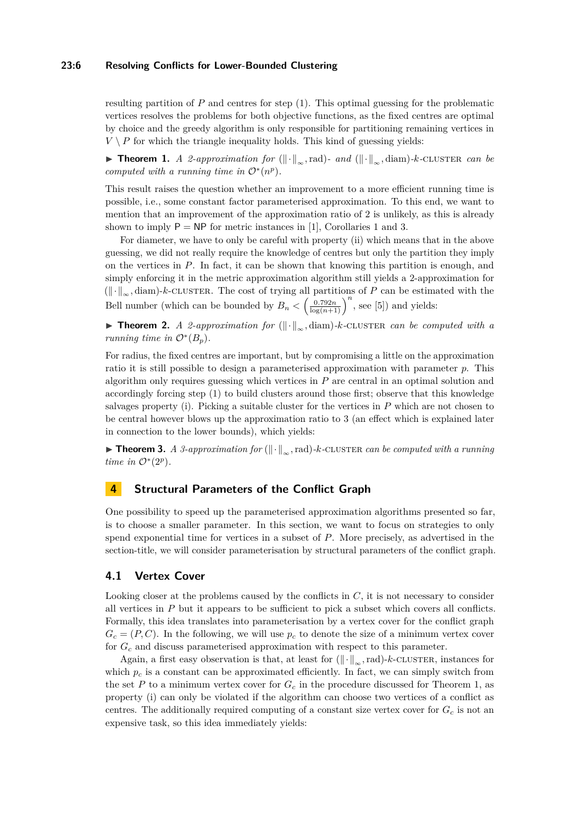#### **23:6 Resolving Conflicts for Lower-Bounded Clustering**

resulting partition of *P* and centres for step (1). This optimal guessing for the problematic vertices resolves the problems for both objective functions, as the fixed centres are optimal by choice and the greedy algorithm is only responsible for partitioning remaining vertices in  $V \setminus P$  for which the triangle inequality holds. This kind of guessing yields:

<span id="page-5-0"></span>**► Theorem 1.** *A 2-approximation for* ( $\|\cdot\|_{\infty}$ , rad)*- and* ( $\|\cdot\|_{\infty}$ , diam)*-k*-CLUSTER *can be computed with a running time in*  $\mathcal{O}^*(n^p)$ *.* 

This result raises the question whether an improvement to a more efficient running time is possible, i.e., some constant factor parameterised approximation. To this end, we want to mention that an improvement of the approximation ratio of 2 is unlikely, as this is already shown to imply  $P = NP$  for metric instances in [\[1\]](#page-11-0), Corollaries 1 and 3.

For diameter, we have to only be careful with property (ii) which means that in the above guessing, we did not really require the knowledge of centres but only the partition they imply on the vertices in *P*. In fact, it can be shown that knowing this partition is enough, and simply enforcing it in the metric approximation algorithm still yields a 2-approximation for  $(\Vert \cdot \Vert_{\infty}, \text{diam})$ -*k*-CLUSTER. The cost of trying all partitions of *P* can be estimated with the Bell number (which can be bounded by  $B_n < (\frac{0.792n}{\log(n+1)})^n$ , see [\[5\]](#page-12-10)) and yields:

**► Theorem 2.** *A 2-approximation for* ( $\|\cdot\|_{\infty}$ , diam)*-k*-CLUSTER *can be computed with a running time in*  $\mathcal{O}^*(B_p)$ *.* 

For radius, the fixed centres are important, but by compromising a little on the approximation ratio it is still possible to design a parameterised approximation with parameter *p*. This algorithm only requires guessing which vertices in *P* are central in an optimal solution and accordingly forcing step (1) to build clusters around those first; observe that this knowledge salvages property (i). Picking a suitable cluster for the vertices in *P* which are not chosen to be central however blows up the approximation ratio to 3 (an effect which is explained later in connection to the lower bounds), which yields:

<span id="page-5-1"></span>**► Theorem 3.** *A 3-approximation for* ( $\|\cdot\|_{\infty}$ , rad)*-k*-CLUSTER *can be computed with a running time in*  $\mathcal{O}^*(2^p)$ *.* 

# **4 Structural Parameters of the Conflict Graph**

One possibility to speed up the parameterised approximation algorithms presented so far, is to choose a smaller parameter. In this section, we want to focus on strategies to only spend exponential time for vertices in a subset of *P*. More precisely, as advertised in the section-title, we will consider parameterisation by structural parameters of the conflict graph.

## **4.1 Vertex Cover**

Looking closer at the problems caused by the conflicts in C, it is not necessary to consider all vertices in *P* but it appears to be sufficient to pick a subset which covers all conflicts. Formally, this idea translates into parameterisation by a vertex cover for the conflict graph  $G_c = (P, C)$ . In the following, we will use  $p_c$  to denote the size of a minimum vertex cover for *G<sup>c</sup>* and discuss parameterised approximation with respect to this parameter.

Again, a first easy observation is that, at least for  $(\Vert \cdot \Vert_{\infty}, \text{rad})$ -*k*-CLUSTER, instances for which  $p_c$  is a constant can be approximated efficiently. In fact, we can simply switch from the set *P* to a minimum vertex cover for  $G_c$  in the procedure discussed for Theorem [1,](#page-5-0) as property (i) can only be violated if the algorithm can choose two vertices of a conflict as centres. The additionally required computing of a constant size vertex cover for  $G_c$  is not an expensive task, so this idea immediately yields: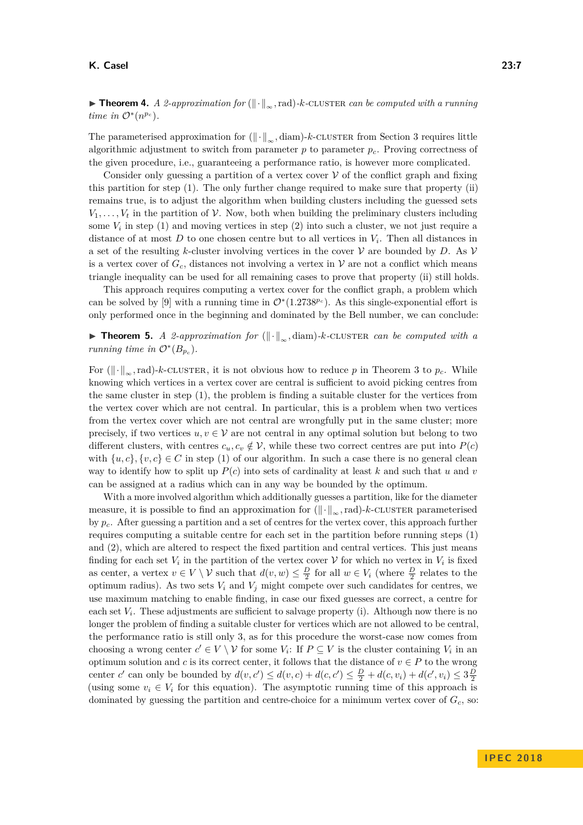#### **K. Casel 23:7**

**► Theorem 4.** *A 2-approximation for* ( $\|\cdot\|_{\infty}$ , rad)*-k*-CLUSTER *can be computed with a running time in*  $\mathcal{O}^*(n^{p_c})$ *.* 

The parameterised approximation for  $(\Vert \cdot \Vert_{\infty}, \text{diam})$ -*k*-cluster from Section [3](#page-4-0) requires little algorithmic adjustment to switch from parameter  $p$  to parameter  $p_c$ . Proving correctness of the given procedure, i.e., guaranteeing a performance ratio, is however more complicated.

Consider only guessing a partition of a vertex cover  $V$  of the conflict graph and fixing this partition for step (1). The only further change required to make sure that property (ii) remains true, is to adjust the algorithm when building clusters including the guessed sets  $V_1, \ldots, V_t$  in the partition of  $\mathcal V$ . Now, both when building the preliminary clusters including some  $V_i$  in step  $(1)$  and moving vertices in step  $(2)$  into such a cluster, we not just require a distance of at most *D* to one chosen centre but to all vertices in *V<sup>i</sup>* . Then all distances in a set of the resulting *k*-cluster involving vertices in the cover  $V$  are bounded by *D*. As  $V$ is a vertex cover of  $G_c$ , distances not involving a vertex in  $V$  are not a conflict which means triangle inequality can be used for all remaining cases to prove that property (ii) still holds.

This approach requires computing a vertex cover for the conflict graph, a problem which can be solved by [\[9\]](#page-12-11) with a running time in  $\mathcal{O}^*(1.2738^{p_c})$ . As this single-exponential effort is only performed once in the beginning and dominated by the Bell number, we can conclude:

<span id="page-6-0"></span>**► Theorem 5.** *A 2-approximation for* ( $\|\cdot\|_{\infty}$ , diam)*-k*-CLUSTER *can be computed with a running time in*  $\mathcal{O}^*(B_{p_c})$ *.* 

For  $(\Vert \cdot \Vert_{\infty}, \text{rad})$ -*k*-CLUSTER, it is not obvious how to reduce p in Theorem [3](#page-5-1) to  $p_c$ . While knowing which vertices in a vertex cover are central is sufficient to avoid picking centres from the same cluster in step (1), the problem is finding a suitable cluster for the vertices from the vertex cover which are not central. In particular, this is a problem when two vertices from the vertex cover which are not central are wrongfully put in the same cluster; more precisely, if two vertices  $u, v \in V$  are not central in any optimal solution but belong to two different clusters, with centres  $c_u, c_v \notin \mathcal{V}$ , while these two correct centres are put into  $P(c)$ with  $\{u, c\}, \{v, c\} \in C$  in step (1) of our algorithm. In such a case there is no general clean way to identify how to split up  $P(c)$  into sets of cardinality at least k and such that u and v can be assigned at a radius which can in any way be bounded by the optimum.

With a more involved algorithm which additionally guesses a partition, like for the diameter measure, it is possible to find an approximation for  $(\Vert \cdot \Vert_{\infty}, \text{rad})$ -*k*-CLUSTER parameterised by *pc*. After guessing a partition and a set of centres for the vertex cover, this approach further requires computing a suitable centre for each set in the partition before running steps (1) and (2), which are altered to respect the fixed partition and central vertices. This just means finding for each set  $V_i$  in the partition of the vertex cover  $V$  for which no vertex in  $V_i$  is fixed as center, a vertex  $v \in V \setminus V$  such that  $d(v, w) \leq \frac{D}{2}$  for all  $w \in V_i$  (where  $\frac{D}{2}$  relates to the optimum radius). As two sets  $V_i$  and  $V_j$  might compete over such candidates for centres, we use maximum matching to enable finding, in case our fixed guesses are correct, a centre for each set  $V_i$ . These adjustments are sufficient to salvage property (i). Although now there is no longer the problem of finding a suitable cluster for vertices which are not allowed to be central, the performance ratio is still only 3, as for this procedure the worst-case now comes from choosing a wrong center  $c' \in V \setminus V$  for some  $V_i$ : If  $P \subseteq V$  is the cluster containing  $V_i$  in an optimum solution and *c* is its correct center, it follows that the distance of  $v \in P$  to the wrong center *c'* can only be bounded by  $d(v, c') \le d(v, c) + d(c, c') \le \frac{D}{2} + d(c, v_i) + d(c', v_i) \le 3\frac{D}{2}$ (using some  $v_i \in V_i$  for this equation). The asymptotic running time of this approach is dominated by guessing the partition and centre-choice for a minimum vertex cover of  $G_c$ , so: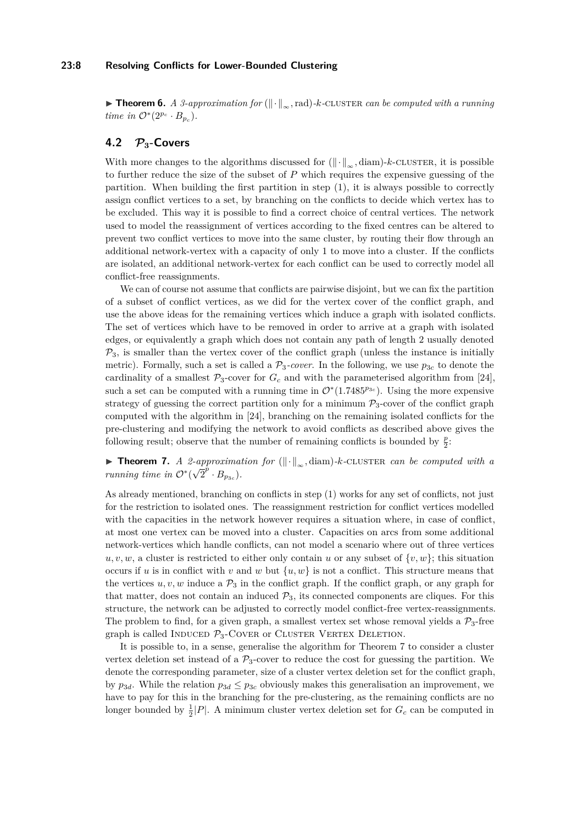#### **23:8 Resolving Conflicts for Lower-Bounded Clustering**

**► Theorem 6.** *A 3-approximation for* ( $\|\cdot\|_{\infty}$ , rad)*-k*-CLUSTER *can be computed with a running time in*  $\mathcal{O}^*(2^{p_c} \cdot B_{p_c})$ *.* 

# **4.2 P3-Covers**

With more changes to the algorithms discussed for  $(\Vert \cdot \Vert_{\infty}, \text{diam})$ -*k*-cluster, it is possible to further reduce the size of the subset of *P* which requires the expensive guessing of the partition. When building the first partition in step (1), it is always possible to correctly assign conflict vertices to a set, by branching on the conflicts to decide which vertex has to be excluded. This way it is possible to find a correct choice of central vertices. The network used to model the reassignment of vertices according to the fixed centres can be altered to prevent two conflict vertices to move into the same cluster, by routing their flow through an additional network-vertex with a capacity of only 1 to move into a cluster. If the conflicts are isolated, an additional network-vertex for each conflict can be used to correctly model all conflict-free reassignments.

We can of course not assume that conflicts are pairwise disjoint, but we can fix the partition of a subset of conflict vertices, as we did for the vertex cover of the conflict graph, and use the above ideas for the remaining vertices which induce a graph with isolated conflicts. The set of vertices which have to be removed in order to arrive at a graph with isolated edges, or equivalently a graph which does not contain any path of length 2 usually denoted  $P_3$ , is smaller than the vertex cover of the conflict graph (unless the instance is initially metric). Formally, such a set is called a  $\mathcal{P}_3$ -cover. In the following, we use  $p_{3c}$  to denote the cardinality of a smallest  $\mathcal{P}_3$ -cover for  $G_c$  and with the parameterised algorithm from [\[24\]](#page-13-1), such a set can be computed with a running time in  $\mathcal{O}^*(1.7485^{p_{3c}})$ . Using the more expensive strategy of guessing the correct partition only for a minimum  $\mathcal{P}_3$ -cover of the conflict graph computed with the algorithm in [\[24\]](#page-13-1), branching on the remaining isolated conflicts for the pre-clustering and modifying the network to avoid conflicts as described above gives the following result; observe that the number of remaining conflicts is bounded by  $\frac{p}{2}$ :

# <span id="page-7-0"></span>**Findment 7.** *A 2-approximation for* ( $\|\cdot\|_{\infty}$ , diam)*-k*-CLUSTER *can be computed with a running time in*  $\mathcal{O}^*(\sqrt{2}^p \cdot B_{p_{3c}})$ *.*

As already mentioned, branching on conflicts in step (1) works for any set of conflicts, not just for the restriction to isolated ones. The reassignment restriction for conflict vertices modelled with the capacities in the network however requires a situation where, in case of conflict, at most one vertex can be moved into a cluster. Capacities on arcs from some additional network-vertices which handle conflicts, can not model a scenario where out of three vertices  $u, v, w$ , a cluster is restricted to either only contain *u* or any subset of  $\{v, w\}$ ; this situation occurs if *u* is in conflict with *v* and *w* but  $\{u, w\}$  is not a conflict. This structure means that the vertices  $u, v, w$  induce a  $\mathcal{P}_3$  in the conflict graph. If the conflict graph, or any graph for that matter, does not contain an induced  $P_3$ , its connected components are cliques. For this structure, the network can be adjusted to correctly model conflict-free vertex-reassignments. The problem to find, for a given graph, a smallest vertex set whose removal yields a  $P_3$ -free graph is called INDUCED  $P_3$ -COVER OF CLUSTER VERTEX DELETION.

It is possible to, in a sense, generalise the algorithm for Theorem [7](#page-7-0) to consider a cluster vertex deletion set instead of a  $\mathcal{P}_3$ -cover to reduce the cost for guessing the partition. We denote the corresponding parameter, size of a cluster vertex deletion set for the conflict graph, by  $p_{3d}$ . While the relation  $p_{3d} \leq p_{3c}$  obviously makes this generalisation an improvement, we have to pay for this in the branching for the pre-clustering, as the remaining conflicts are no longer bounded by  $\frac{1}{2}|P|$ . A minimum cluster vertex deletion set for  $G_c$  can be computed in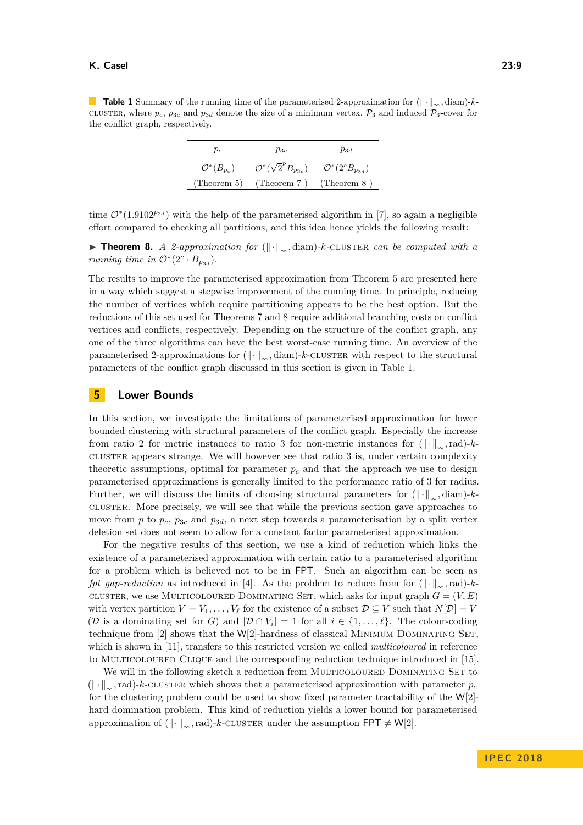#### **K. Casel 23:9**

<span id="page-8-1"></span>**Table 1** Summary of the running time of the parameterised 2-approximation for ( $\|\cdot\|_{\infty}$ , diam)-*k*cluster, where  $p_c$ ,  $p_{3c}$  and  $p_{3d}$  denote the size of a minimum vertex,  $\mathcal{P}_3$  and induced  $\mathcal{P}_3$ -cover for the conflict graph, respectively.

| $p_c$                    | $p_{3c}$                              | $p_{3d}$                       |
|--------------------------|---------------------------------------|--------------------------------|
| $\mathcal{O}^*(B_{p_c})$ | $\mathcal{O}^*(\sqrt{2}^pB_{p_{3c}})$ | $\mathcal{O}^*(2^cB_{p_{3d}})$ |
| (Theorem 5)              | (Theorem $7)$                         | (Theorem $8$ )                 |

time  $\mathcal{O}^*(1.9102^{p_{3d}})$  with the help of the parameterised algorithm in [\[7\]](#page-12-12), so again a negligible effort compared to checking all partitions, and this idea hence yields the following result:

<span id="page-8-0"></span>**► Theorem 8.** *A 2-approximation for* ( $\|\cdot\|_{\infty}$ , diam)*-k*-CLUSTER *can be computed with a running time in*  $\mathcal{O}^*(2^c \cdot B_{p_{3d}})$ *.* 

The results to improve the parameterised approximation from Theorem [5](#page-6-0) are presented here in a way which suggest a stepwise improvement of the running time. In principle, reducing the number of vertices which require partitioning appears to be the best option. But the reductions of this set used for Theorems [7](#page-7-0) and [8](#page-8-0) require additional branching costs on conflict vertices and conflicts, respectively. Depending on the structure of the conflict graph, any one of the three algorithms can have the best worst-case running time. An overview of the parameterised 2-approximations for  $(\Vert \cdot \Vert_{\infty}, \text{diam})$ -*k*-cluster with respect to the structural parameters of the conflict graph discussed in this section is given in Table [1.](#page-8-1)

## **5 Lower Bounds**

In this section, we investigate the limitations of parameterised approximation for lower bounded clustering with structural parameters of the conflict graph. Especially the increase from ratio 2 for metric instances to ratio 3 for non-metric instances for  $(\Vert \cdot \Vert_{\infty}, \text{rad})$ -*k*cluster appears strange. We will however see that ratio 3 is, under certain complexity theoretic assumptions, optimal for parameter  $p_c$  and that the approach we use to design parameterised approximations is generally limited to the performance ratio of 3 for radius. Further, we will discuss the limits of choosing structural parameters for  $(\Vert \cdot \Vert_{\infty}, \text{diam})$ -*k*cluster. More precisely, we will see that while the previous section gave approaches to move from *p* to  $p_c$ ,  $p_{3c}$  and  $p_{3d}$ , a next step towards a parameterisation by a split vertex deletion set does not seem to allow for a constant factor parameterised approximation.

For the negative results of this section, we use a kind of reduction which links the existence of a parameterised approximation with certain ratio to a parameterised algorithm for a problem which is believed not to be in FPT. Such an algorithm can be seen as *fpt gap-reduction* as introduced in [\[4\]](#page-12-13). As the problem to reduce from for  $(\Vert \cdot \Vert_{\infty}, \text{rad})$ -*k*cluster, we use MULTICOLOURED DOMINATING SET, which asks for input graph  $G = (V, E)$ with vertex partition  $V = V_1, \ldots, V_\ell$  for the existence of a subset  $D \subseteq V$  such that  $N[D] = V$ (D is a dominating set for *G*) and  $|\mathcal{D} \cap V_i| = 1$  for all  $i \in \{1, ..., \ell\}$ . The colour-coding technique from  $[2]$  shows that the W[2]-hardness of classical MINIMUM DOMINATING SET. which is shown in [\[11\]](#page-12-14), transfers to this restricted version we called *multicoloured* in reference to MULTICOLOURED CLIQUE and the corresponding reduction technique introduced in [\[15\]](#page-12-15).

We will in the following sketch a reduction from MULTICOLOURED DOMINATING SET to  $(\Vert \cdot \Vert_{\infty}, \text{rad})$ -*k*-CLUSTER which shows that a parameterised approximation with parameter  $p_c$ for the clustering problem could be used to show fixed parameter tractability of the  $W[2]$ hard domination problem. This kind of reduction yields a lower bound for parameterised approximation of  $(\lVert \cdot \rVert_{\infty}, \text{rad})$ -*k*-CLUSTER under the assumption FPT  $\neq W[2]$ .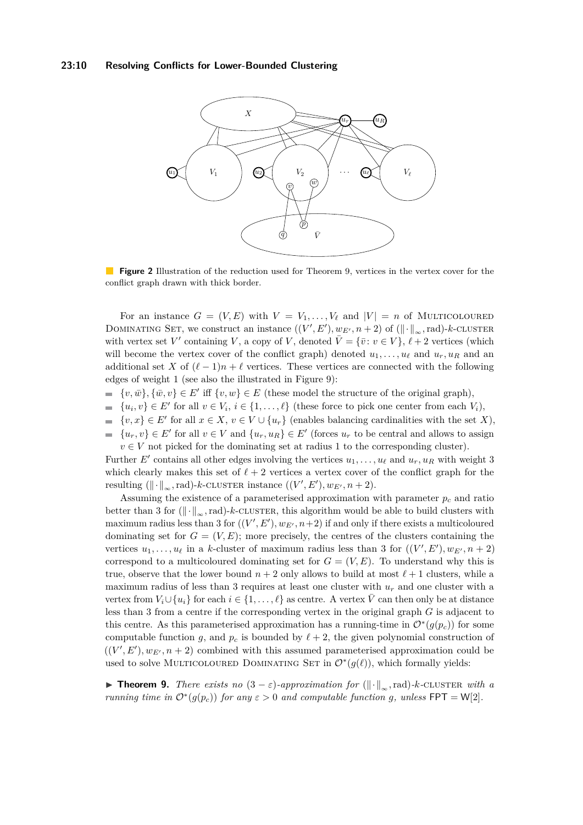#### **23:10 Resolving Conflicts for Lower-Bounded Clustering**

<span id="page-9-1"></span>

**Figure 2** Illustration of the reduction used for Theorem [9,](#page-9-0) vertices in the vertex cover for the conflict graph drawn with thick border.

For an instance  $G = (V, E)$  with  $V = V_1, \ldots, V_\ell$  and  $|V| = n$  of MULTICOLOURED DOMINATING SET, we construct an instance  $((V', E'), w_{E'}, n + 2)$  of  $(\|\cdot\|_{\infty}, \text{rad})$ -*k*-CLUSTER with vertex set *V*' containing *V*, a copy of *V*, denoted  $\overline{V} = {\overline{v}: v \in V}, \ell + 2$  vertices (which will become the vertex cover of the conflict graph) denoted  $u_1, \ldots, u_\ell$  and  $u_r, u_R$  and an additional set *X* of  $(\ell - 1)n + \ell$  vertices. These vertices are connected with the following edges of weight 1 (see also the illustrated in Figure [9\)](#page-9-0):

- $\{v, \overline{w}\}, \{\overline{w}, v\} \in E'$  iff  $\{v, w\} \in E$  (these model the structure of the original graph),
- $\{u_i, v\} \in E'$  for all  $v \in V_i$ ,  $i \in \{1, \ldots, \ell\}$  (these force to pick one center from each  $V_i$ ),  $\blacksquare$
- $\{v, x\} \in E'$  for all  $x \in X$ ,  $v \in V \cup \{u_r\}$  (enables balancing cardinalities with the set *X*),
- $\{u_r, v\} \in E'$  for all  $v \in V$  and  $\{u_r, u_R\} \in E'$  (forces  $u_r$  to be central and allows to assign  $\mathbf{r}$  $v \in V$  not picked for the dominating set at radius 1 to the corresponding cluster).

Further  $E'$  contains all other edges involving the vertices  $u_1, \ldots, u_\ell$  and  $u_r, u_R$  with weight 3 which clearly makes this set of  $\ell + 2$  vertices a vertex cover of the conflict graph for the resulting  $(\lVert \cdot \rVert_{\infty}, \text{rad})$ -*k*-CLUSTER instance  $((V', E'), w_{E'}, n + 2)$ .

Assuming the existence of a parameterised approximation with parameter  $p_c$  and ratio better than 3 for  $(\|\cdot\|_{\infty}, \text{rad})$ -*k*-cluster, this algorithm would be able to build clusters with maximum radius less than 3 for  $((V', E'), w_{E'}, n+2)$  if and only if there exists a multicoloured dominating set for  $G = (V, E)$ ; more precisely, the centres of the clusters containing the vertices  $u_1, \ldots, u_\ell$  in a *k*-cluster of maximum radius less than 3 for  $((V', E'), w_{E'}, n + 2)$ correspond to a multicoloured dominating set for  $G = (V, E)$ . To understand why this is true, observe that the lower bound  $n + 2$  only allows to build at most  $\ell + 1$  clusters, while a maximum radius of less than 3 requires at least one cluster with  $u_r$  and one cluster with a vertex from  $V_i \cup \{u_i\}$  for each  $i \in \{1, \ldots, \ell\}$  as centre. A vertex  $\overline{V}$  can then only be at distance less than 3 from a centre if the corresponding vertex in the original graph *G* is adjacent to this centre. As this parameterised approximation has a running-time in  $\mathcal{O}^*(g(p_c))$  for some computable function *g*, and  $p_c$  is bounded by  $\ell + 2$ , the given polynomial construction of  $((V', E'), w_{E'}, n + 2)$  combined with this assumed parameterised approximation could be used to solve MULTICOLOURED DOMINATING SET in  $\mathcal{O}^*(g(\ell))$ , which formally yields:

<span id="page-9-0"></span>**► Theorem 9.** *There exists no*  $(3 - \varepsilon)$ *-approximation for*  $(|| \cdot ||_{\infty}$ *,rad)-k-cluster with a running time in*  $O^*(g(p_c))$  *for any*  $\varepsilon > 0$  *and computable function g, unless*  $\text{FPT} = \text{W[2]}$ *.*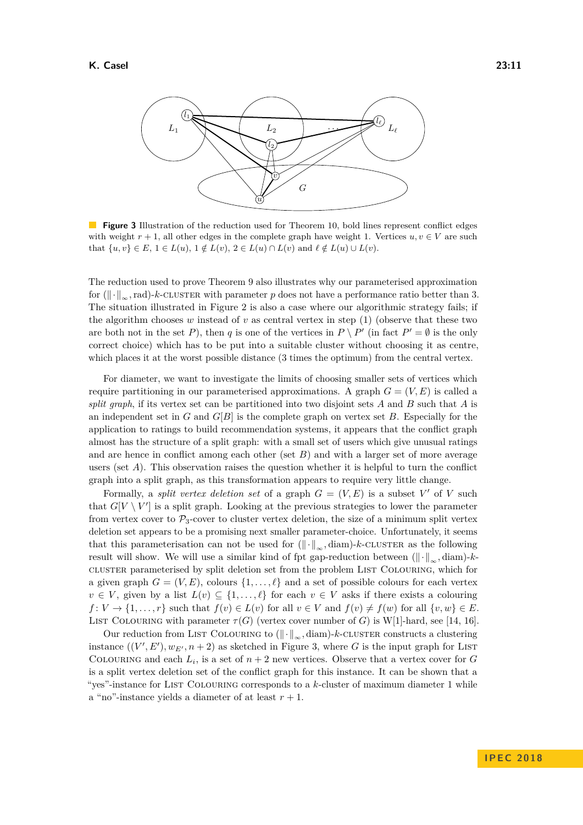<span id="page-10-0"></span>

**Figure 3** Illustration of the reduction used for Theorem [10,](#page-11-2) bold lines represent conflict edges with weight  $r + 1$ , all other edges in the complete graph have weight 1. Vertices  $u, v \in V$  are such  $\text{that } \{u,v\} \in E, \ 1 \in L(u), \ 1 \notin L(v), \ 2 \in L(u) \cap L(v) \ \text{and} \ \ell \notin L(u) \cup L(v).$ 

The reduction used to prove Theorem [9](#page-9-0) also illustrates why our parameterised approximation for  $(\Vert \cdot \Vert_{\infty}, \text{rad})$ -*k*-CLUSTER with parameter *p* does not have a performance ratio better than 3. The situation illustrated in Figure [2](#page-9-1) is also a case where our algorithmic strategy fails; if the algorithm chooses  $w$  instead of  $v$  as central vertex in step  $(1)$  (observe that these two are both not in the set *P*), then *q* is one of the vertices in  $P \setminus P'$  (in fact  $P' = \emptyset$  is the only correct choice) which has to be put into a suitable cluster without choosing it as centre, which places it at the worst possible distance (3 times the optimum) from the central vertex.

For diameter, we want to investigate the limits of choosing smaller sets of vertices which require partitioning in our parameterised approximations. A graph  $G = (V, E)$  is called a *split graph*, if its vertex set can be partitioned into two disjoint sets *A* and *B* such that *A* is an independent set in *G* and *G*[*B*] is the complete graph on vertex set *B*. Especially for the application to ratings to build recommendation systems, it appears that the conflict graph almost has the structure of a split graph: with a small set of users which give unusual ratings and are hence in conflict among each other (set *B*) and with a larger set of more average users (set *A*). This observation raises the question whether it is helpful to turn the conflict graph into a split graph, as this transformation appears to require very little change.

Formally, a *split vertex deletion set* of a graph  $G = (V, E)$  is a subset V' of V such that  $G[V \setminus V']$  is a split graph. Looking at the previous strategies to lower the parameter from vertex cover to  $P_3$ -cover to cluster vertex deletion, the size of a minimum split vertex deletion set appears to be a promising next smaller parameter-choice. Unfortunately, it seems that this parameterisation can not be used for  $(\Vert \cdot \Vert_{\infty}, \text{diam})$ -*k*-CLUSTER as the following result will show. We will use a similar kind of fpt gap-reduction between  $(\Vert \cdot \Vert_{\infty}, \text{diam})$ -*k*cluster parameterised by split deletion set from the problem List Colouring, which for a given graph  $G = (V, E)$ , colours  $\{1, \ldots, \ell\}$  and a set of possible colours for each vertex  $v \in V$ , given by a list  $L(v) \subseteq \{1, \ldots, \ell\}$  for each  $v \in V$  asks if there exists a colouring  $f: V \to \{1, \ldots, r\}$  such that  $f(v) \in L(v)$  for all  $v \in V$  and  $f(v) \neq f(w)$  for all  $\{v, w\} \in E$ . LIST COLOURING with parameter  $\tau(G)$  (vertex cover number of *G*) is W[1]-hard, see [\[14,](#page-12-16) [16\]](#page-12-17).

Our reduction from LIST COLOURING to  $(\Vert \cdot \Vert_{\infty}, \text{diam})$ -*k*-CLUSTER constructs a clustering instance  $((V', E'), w_{E'}, n + 2)$  as sketched in Figure [3,](#page-10-0) where G is the input graph for LIST COLOURING and each  $L_i$ , is a set of  $n+2$  new vertices. Observe that a vertex cover for *G* is a split vertex deletion set of the conflict graph for this instance. It can be shown that a "yes"-instance for List Colouring corresponds to a *k*-cluster of maximum diameter 1 while a "no"-instance yields a diameter of at least  $r + 1$ .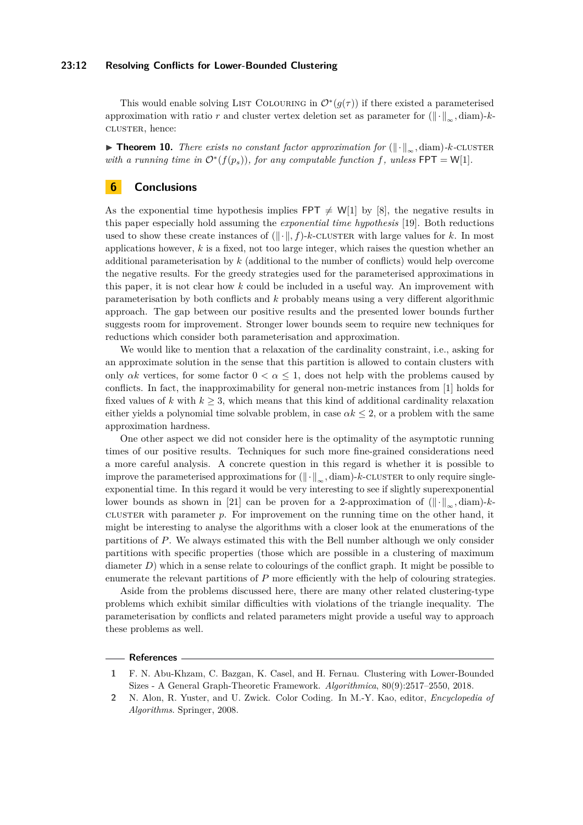#### **23:12 Resolving Conflicts for Lower-Bounded Clustering**

This would enable solving LIST COLOURING in  $\mathcal{O}^*(g(\tau))$  if there existed a parameterised approximation with ratio *r* and cluster vertex deletion set as parameter for  $(\Vert \cdot \Vert_{\infty}, \text{diam})$ -*k*cluster, hence:

<span id="page-11-2"></span>**► Theorem 10.** There exists no constant factor approximation for  $(\Vert \cdot \Vert_{\infty}, \text{diam})$ *-k*-CLUSTER *with a running time in*  $O^*(f(p_s))$ *, for any computable function f, unless*  $\text{FPT} = \text{W[1]}$ *.* 

# **6 Conclusions**

As the exponential time hypothesis implies FPT  $\neq W[1]$  by [\[8\]](#page-12-18), the negative results in this paper especially hold assuming the *exponential time hypothesis* [\[19\]](#page-12-19). Both reductions used to show these create instances of  $(\Vert \cdot \Vert, f)$ -*k*-CLUSTER with large values for *k*. In most applications however, *k* is a fixed, not too large integer, which raises the question whether an additional parameterisation by *k* (additional to the number of conflicts) would help overcome the negative results. For the greedy strategies used for the parameterised approximations in this paper, it is not clear how *k* could be included in a useful way. An improvement with parameterisation by both conflicts and *k* probably means using a very different algorithmic approach. The gap between our positive results and the presented lower bounds further suggests room for improvement. Stronger lower bounds seem to require new techniques for reductions which consider both parameterisation and approximation.

We would like to mention that a relaxation of the cardinality constraint, i.e., asking for an approximate solution in the sense that this partition is allowed to contain clusters with only  $\alpha k$  vertices, for some factor  $0 < \alpha \leq 1$ , does not help with the problems caused by conflicts. In fact, the inapproximability for general non-metric instances from [\[1\]](#page-11-0) holds for fixed values of *k* with  $k \geq 3$ , which means that this kind of additional cardinality relaxation either yields a polynomial time solvable problem, in case  $\alpha k \leq 2$ , or a problem with the same approximation hardness.

One other aspect we did not consider here is the optimality of the asymptotic running times of our positive results. Techniques for such more fine-grained considerations need a more careful analysis. A concrete question in this regard is whether it is possible to improve the parameterised approximations for  $(\Vert \cdot \Vert_{\infty}, \text{diam})$ -*k*-CLUSTER to only require singleexponential time. In this regard it would be very interesting to see if slightly superexponential lower bounds as shown in [\[21\]](#page-12-20) can be proven for a 2-approximation of  $(\Vert \cdot \Vert_{\infty}, \text{diam})$ -*k*cluster with parameter  $p$ . For improvement on the running time on the other hand, it might be interesting to analyse the algorithms with a closer look at the enumerations of the partitions of *P*. We always estimated this with the Bell number although we only consider partitions with specific properties (those which are possible in a clustering of maximum diameter *D*) which in a sense relate to colourings of the conflict graph. It might be possible to enumerate the relevant partitions of *P* more efficiently with the help of colouring strategies.

Aside from the problems discussed here, there are many other related clustering-type problems which exhibit similar difficulties with violations of the triangle inequality. The parameterisation by conflicts and related parameters might provide a useful way to approach these problems as well.

#### **References**

<span id="page-11-0"></span>**<sup>1</sup>** F. N. Abu-Khzam, C. Bazgan, K. Casel, and H. Fernau. Clustering with Lower-Bounded Sizes - A General Graph-Theoretic Framework. *Algorithmica*, 80(9):2517–2550, 2018.

<span id="page-11-1"></span>**<sup>2</sup>** N. Alon, R. Yuster, and U. Zwick. Color Coding. In M.-Y. Kao, editor, *Encyclopedia of Algorithms*. Springer, 2008.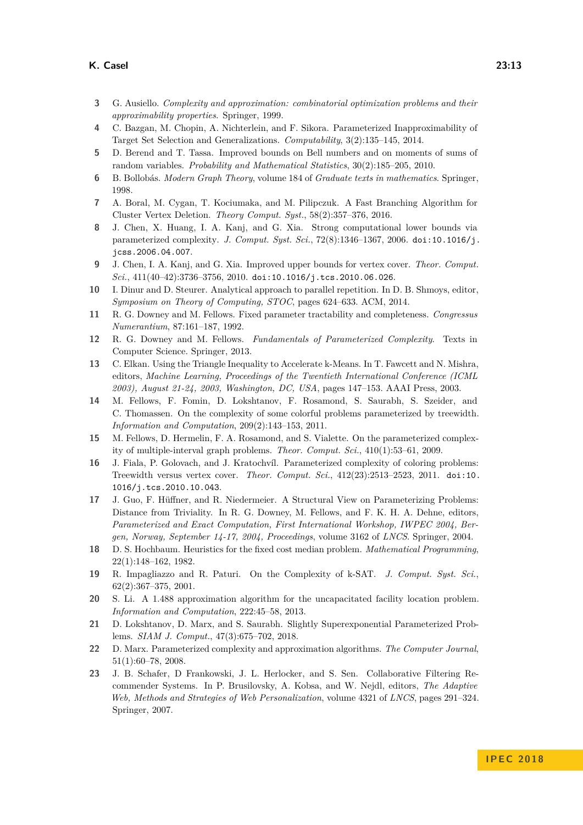#### **K. Casel 23:13**

- <span id="page-12-7"></span>**3** G. Ausiello. *Complexity and approximation: combinatorial optimization problems and their approximability properties*. Springer, 1999.
- <span id="page-12-13"></span>**4** C. Bazgan, M. Chopin, A. Nichterlein, and F. Sikora. Parameterized Inapproximability of Target Set Selection and Generalizations. *Computability*, 3(2):135–145, 2014.
- <span id="page-12-10"></span>**5** D. Berend and T. Tassa. Improved bounds on Bell numbers and on moments of sums of random variables. *Probability and Mathematical Statistics*, 30(2):185–205, 2010.
- <span id="page-12-6"></span>**6** B. Bollobás. *Modern Graph Theory*, volume 184 of *Graduate texts in mathematics*. Springer, 1998.
- <span id="page-12-12"></span>**7** A. Boral, M. Cygan, T. Kociumaka, and M. Pilipczuk. A Fast Branching Algorithm for Cluster Vertex Deletion. *Theory Comput. Syst.*, 58(2):357–376, 2016.
- <span id="page-12-18"></span>**8** J. Chen, X. Huang, I. A. Kanj, and G. Xia. Strong computational lower bounds via parameterized complexity. *J. Comput. Syst. Sci.*, 72(8):1346–1367, 2006. [doi:10.1016/j.](http://dx.doi.org/10.1016/j.jcss.2006.04.007) [jcss.2006.04.007](http://dx.doi.org/10.1016/j.jcss.2006.04.007).
- <span id="page-12-11"></span>**9** J. Chen, I. A. Kanj, and G. Xia. Improved upper bounds for vertex cover. *Theor. Comput. Sci.*, 411(40–42):3736–3756, 2010. [doi:10.1016/j.tcs.2010.06.026](http://dx.doi.org/10.1016/j.tcs.2010.06.026).
- <span id="page-12-2"></span>**10** I. Dinur and D. Steurer. Analytical approach to parallel repetition. In D. B. Shmoys, editor, *Symposium on Theory of Computing, STOC*, pages 624–633. ACM, 2014.
- <span id="page-12-14"></span>**11** R. G. Downey and M. Fellows. Fixed parameter tractability and completeness. *Congressus Numerantium*, 87:161–187, 1992.
- <span id="page-12-8"></span>**12** R. G. Downey and M. Fellows. *Fundamentals of Parameterized Complexity*. Texts in Computer Science. Springer, 2013.
- <span id="page-12-3"></span>**13** C. Elkan. Using the Triangle Inequality to Accelerate k-Means. In T. Fawcett and N. Mishra, editors, *Machine Learning, Proceedings of the Twentieth International Conference (ICML 2003), August 21-24, 2003, Washington, DC, USA*, pages 147–153. AAAI Press, 2003.
- <span id="page-12-16"></span>**14** M. Fellows, F. Fomin, D. Lokshtanov, F. Rosamond, S. Saurabh, S. Szeider, and C. Thomassen. On the complexity of some colorful problems parameterized by treewidth. *Information and Computation*, 209(2):143–153, 2011.
- <span id="page-12-15"></span>**15** M. Fellows, D. Hermelin, F. A. Rosamond, and S. Vialette. On the parameterized complexity of multiple-interval graph problems. *Theor. Comput. Sci.*, 410(1):53–61, 2009.
- <span id="page-12-17"></span>**16** J. Fiala, P. Golovach, and J. Kratochvíl. Parameterized complexity of coloring problems: Treewidth versus vertex cover. *Theor. Comput. Sci.*, 412(23):2513–2523, 2011. [doi:10.](http://dx.doi.org/10.1016/j.tcs.2010.10.043) [1016/j.tcs.2010.10.043](http://dx.doi.org/10.1016/j.tcs.2010.10.043).
- <span id="page-12-5"></span>**17** J. Guo, F. Hüffner, and R. Niedermeier. A Structural View on Parameterizing Problems: Distance from Triviality. In R. G. Downey, M. Fellows, and F. K. H. A. Dehne, editors, *Parameterized and Exact Computation, First International Workshop, IWPEC 2004, Bergen, Norway, September 14-17, 2004, Proceedings*, volume 3162 of *LNCS*. Springer, 2004.
- <span id="page-12-1"></span>**18** D. S. Hochbaum. Heuristics for the fixed cost median problem. *Mathematical Programming*, 22(1):148–162, 1982.
- <span id="page-12-19"></span>**19** R. Impagliazzo and R. Paturi. On the Complexity of k-SAT. *J. Comput. Syst. Sci.*, 62(2):367–375, 2001.
- <span id="page-12-0"></span>**20** S. Li. A 1.488 approximation algorithm for the uncapacitated facility location problem. *Information and Computation*, 222:45–58, 2013.
- <span id="page-12-20"></span>**21** D. Lokshtanov, D. Marx, and S. Saurabh. Slightly Superexponential Parameterized Problems. *SIAM J. Comput.*, 47(3):675–702, 2018.
- <span id="page-12-9"></span>**22** D. Marx. Parameterized complexity and approximation algorithms. *The Computer Journal*, 51(1):60–78, 2008.
- <span id="page-12-4"></span>**23** J. B. Schafer, D Frankowski, J. L. Herlocker, and S. Sen. Collaborative Filtering Recommender Systems. In P. Brusilovsky, A. Kobsa, and W. Nejdl, editors, *The Adaptive Web, Methods and Strategies of Web Personalization*, volume 4321 of *LNCS*, pages 291–324. Springer, 2007.